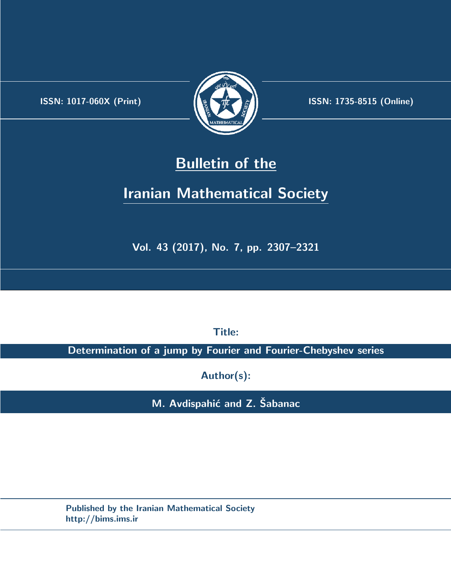.



**ISSN:** 1017-060X (Print)  $\left(\frac{1}{2}\right)$   $\frac{1}{2}$   $\frac{1}{2}$   $\frac{1}{2}$  **ISSN:** 1735-8515 (Online)

# **Bulletin of the**

# **Iranian Mathematical Society**

**Vol. 43 (2017), No. 7, pp. 2307–2321**

**Title:**

**Determination of a jump by Fourier and Fourier-Chebyshev series**

**Author(s):**

**M.** Avdispahić and Z. Šabanac

**Published by the Iranian Mathematical Society http://bims.ims.ir**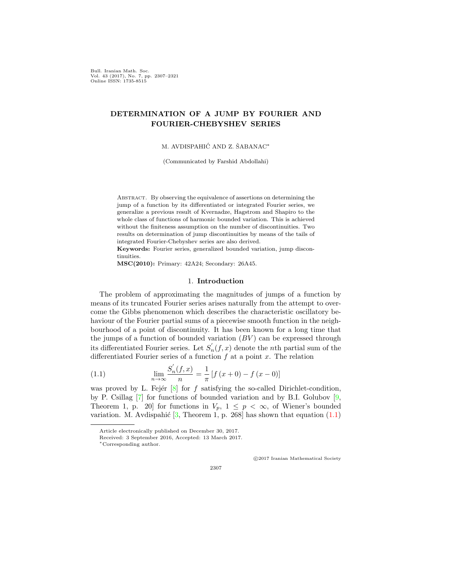Bull. Iranian Math. Soc. Vol. 43 (2017), No. 7, pp. 2307–2321 Online ISSN: 1735-8515

## **DETERMINATION OF A JUMP BY FOURIER AND FOURIER-CHEBYSHEV SERIES**

### M. AVDISPAHIĆ AND Z. ŠABANAC<sup>\*</sup>

(Communicated by Farshid Abdollahi)

Abstract. By observing the equivalence of assertions on determining the jump of a function by its differentiated or integrated Fourier series, we generalize a previous result of Kvernadze, Hagstrom and Shapiro to the whole class of functions of harmonic bounded variation. This is achieved without the finiteness assumption on the number of discontinuities. Two results on determination of jump discontinuities by means of the tails of integrated Fourier-Chebyshev series are also derived.

**Keywords:** Fourier series, generalized bounded variation, jump discontinuities.

**MSC(2010):** Primary: 42A24; Secondary: 26A45.

#### 1. **Introduction**

The problem of approximating the magnitudes of jumps of a function by means of its truncated Fourier series arises naturally from the attempt to overcome the Gibbs phenomenon which describes the characteristic oscillatory behaviour of the Fourier partial sums of a piecewise smooth function in the neighbourhood of a point of discontinuity. It has been known for a long time that the jumps of a function of bounded variation  $(BV)$  can be expressed through its differentiated Fourier series. Let  $S'_n(f, x)$  denote the *n*th partial sum of the differentiated Fourier series of a function *f* at a point *x*. The relation

<span id="page-1-0"></span>(1.1) 
$$
\lim_{n \to \infty} \frac{S'_n(f, x)}{n} = \frac{1}{\pi} \left[ f(x+0) - f(x-0) \right]
$$

was proved by L. Fejér  $[8]$  $[8]$  for  $f$  satisfying the so-called Dirichlet-condition, by P. Csillag  $[7]$  $[7]$  for functions of bounded variation and by B.I. Golubov  $[9, 9]$  $[9, 9]$ Theorem 1, p. 20] for functions in  $V_p$ ,  $1 \leq p < \infty$ , of Wiener's bounded variation. M. Avdispahić  $[3,$  $[3,$  Theorem 1, p. 268] has shown that equation  $(1.1)$  $(1.1)$  $(1.1)$ 

*⃝*c 2017 Iranian Mathematical Society

Article electronically published on December 30, 2017.

Received: 3 September 2016, Accepted: 13 March 2017.

*<sup>∗</sup>*Corresponding author.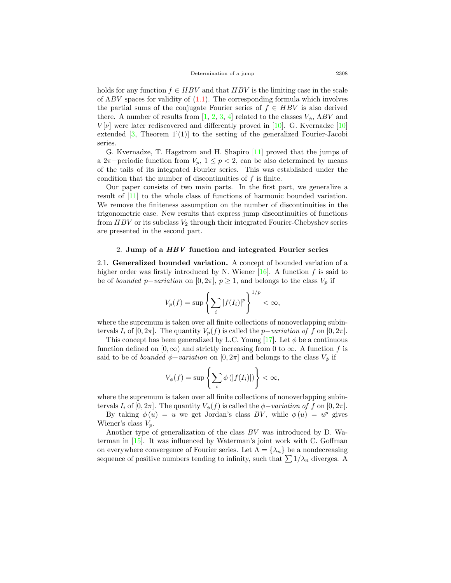holds for any function  $f \in HBV$  and that  $HBV$  is the limiting case in the scale of Λ*BV* spaces for validity of ([1.1\)](#page-1-0). The corresponding formula which involves the partial sums of the conjugate Fourier series of  $f \in HBV$  is also derived there. A number of results from  $[1, 2, 3, 4]$  $[1, 2, 3, 4]$  $[1, 2, 3, 4]$  $[1, 2, 3, 4]$  $[1, 2, 3, 4]$  $[1, 2, 3, 4]$  $[1, 2, 3, 4]$  $[1, 2, 3, 4]$  $[1, 2, 3, 4]$  related to the classes  $V_{\phi}$ ,  $\Lambda BV$  and  $V[\nu]$  were later rediscovered and differently proved in [\[10](#page-14-7)]. G. Kvernadze [[10](#page-14-7)] extended  $[3,$  $[3,$  Theorem 1'(1)] to the setting of the generalized Fourier-Jacobi series.

G. Kvernadze, T. Hagstrom and H. Shapiro [[11\]](#page-14-8) proved that the jumps of a 2 $\pi$ −periodic function from  $V_p$ , 1  $\leq$  *p* < 2, can be also determined by means of the tails of its integrated Fourier series. This was established under the condition that the number of discontinuities of *f* is finite.

Our paper consists of two main parts. In the first part, we generalize a result of [[11\]](#page-14-8) to the whole class of functions of harmonic bounded variation. We remove the finiteness assumption on the number of discontinuities in the trigonometric case. New results that express jump discontinuities of functions from  $HBV$  or its subclass  $V_2$  through their integrated Fourier-Chebyshev series are presented in the second part.

#### 2. **Jump of a** *HBV* **function and integrated Fourier series**

2.1. **Generalized bounded variation.** A concept of bounded variation of a higher order was firstly introduced by N. Wiener  $[16]$  $[16]$ . A function  $f$  is said to be of *bounded*  $p$ −*variation* on [0, 2 $\pi$ ],  $p \geq 1$ , and belongs to the class  $V_p$  if

$$
V_p(f) = \sup \left\{ \sum_i |f(I_i)|^p \right\}^{1/p} < \infty,
$$

where the supremum is taken over all finite collections of nonoverlapping subintervals  $I_i$  of  $[0, 2\pi]$ . The quantity  $V_p(f)$  is called the *p−variation of*  $f$  on  $[0, 2\pi]$ .

This concept has been generalized by L.C. Young  $[17]$  $[17]$  $[17]$ . Let  $\phi$  be a continuous function defined on  $[0, \infty)$  and strictly increasing from 0 to  $\infty$ . A function f is said to be of *bounded*  $\phi$ *-variation* on [0, 2 $\pi$ ] and belongs to the class  $V_{\phi}$  if

$$
V_{\phi}(f) = \sup \left\{ \sum_{i} \phi\left(|f(I_i)|\right) \right\} < \infty,
$$

where the supremum is taken over all finite collections of nonoverlapping subintervals  $I_i$  of  $[0, 2\pi]$ . The quantity  $V_\phi(f)$  is called the  $\phi$ *-variation of*  $f$  on  $[0, 2\pi]$ .

By taking  $\phi(u) = u$  we get Jordan's class *BV*, while  $\phi(u) = u^p$  gives Wiener's class  $V_p$ .

Another type of generalization of the class *BV* was introduced by D. Waterman in [\[15](#page-14-11)]. It was influenced by Waterman's joint work with C. Goffman on everywhere convergence of Fourier series. Let  $\Lambda = {\lambda_n}$  be a nondecreasing sequence of positive numbers tending to infinity, such that  $\sum 1/\lambda_n$  diverges. A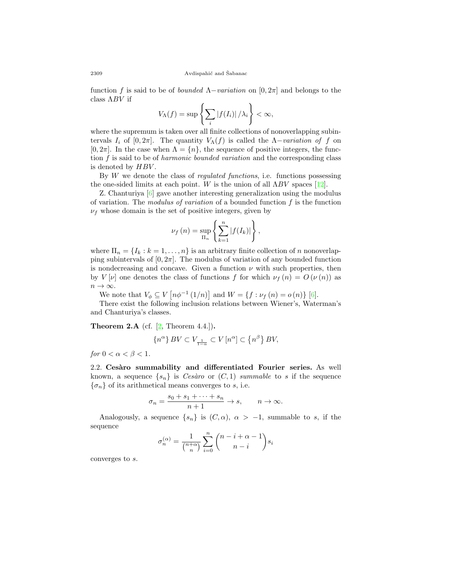function *f* is said to be of *bounded* Λ*−variation* on [0*,* 2*π*] and belongs to the class Λ*BV* if

$$
V_{\Lambda}(f) = \sup \left\{ \sum_{i} |f(I_{i})| / \lambda_{i} \right\} < \infty,
$$

where the supremum is taken over all finite collections of nonoverlapping subintervals  $I_i$  of  $[0, 2\pi]$ . The quantity  $V_\Lambda(f)$  is called the  $\Lambda$ *-variation of*  $f$  on  $[0, 2\pi]$ . In the case when  $\Lambda = \{n\}$ , the sequence of positive integers, the function *f* is said to be of *harmonic bounded variation* and the corresponding class is denoted by *HBV* .

By *W* we denote the class of *regulated functions*, i.e. functions possessing the one-sided limits at each point. *W* is the union of all  $\Lambda BV$  spaces [[12\]](#page-14-12).

Z. Chanturiya [[6\]](#page-14-13) gave another interesting generalization using the modulus of variation. The *modulus of variation* of a bounded function *f* is the function  $\nu_f$  whose domain is the set of positive integers, given by

$$
\nu_f(n) = \sup_{\Pi_n} \left\{ \sum_{k=1}^n |f(I_k)| \right\},\,
$$

where  $\Pi_n = \{I_k : k = 1, \ldots, n\}$  is an arbitrary finite collection of *n* nonoverlapping subintervals of  $[0, 2\pi]$ . The modulus of variation of any bounded function is nondecreasing and concave. Given a function *ν* with such properties, then by *V* [*v*] one denotes the class of functions *f* for which  $\nu_f(n) = O(\nu(n))$  as *n → ∞*.

We note that  $V_{\phi} \subseteq V$   $[n\phi^{-1}(1/n)]$  and  $W = \{f : \nu_f(n) = o(n)\}$  [\[6](#page-14-13)].

There exist the following inclusion relations between Wiener's, Waterman's and Chanturiya's classes.

<span id="page-3-0"></span>**Theorem 2.A** (cf. [\[2](#page-14-5), Theorem 4.4.])**.**

$$
\{n^\alpha\}\,BV\subset V_{\frac{1}{1-\alpha}}\subset V\left[n^\alpha\right]\subset \left\{n^\beta\right\}BV,
$$

*for*  $0 < \alpha < \beta < 1$ *.* 

2.2. Cesàro summability and differentiated Fourier series. As well known, a sequence  $\{s_n\}$  is *Cesàro* or  $(C, 1)$  *summable* to *s* if the sequence  ${\lbrace \sigma_n \rbrace}$  of its arithmetical means converges to *s*, i.e.

$$
\sigma_n = \frac{s_0 + s_1 + \dots + s_n}{n+1} \to s, \qquad n \to \infty.
$$

Analogously, a sequence  $\{s_n\}$  is  $(C, \alpha)$ ,  $\alpha > -1$ , summable to *s*, if the sequence

$$
\sigma_n^{(\alpha)} = \frac{1}{\binom{n+\alpha}{n}} \sum_{i=0}^n \binom{n-i+\alpha-1}{n-i} s_i
$$

converges to *s*.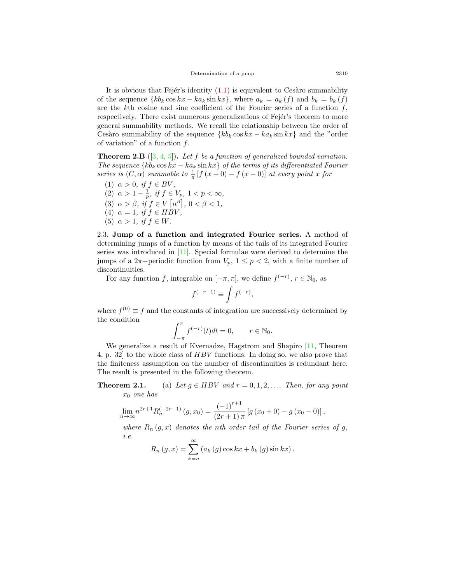It is obvious that Fejér's identity  $(1.1)$  $(1.1)$  $(1.1)$  is equivalent to Cesàro summability of the sequence  $\{kb_k \cos kx - ka_k \sin kx\}$ , where  $a_k = a_k(f)$  and  $b_k = b_k(f)$ are the *k*th cosine and sine coefficient of the Fourier series of a function *f*, respectively. There exist numerous generalizations of Fejér's theorem to more general summability methods. We recall the relationship between the order of Cesàro summability of the sequence  ${k b_k \cos kx - k a_k \sin kx}$  and the "order" of variation" of a function *f*.

**Theorem 2.B** ([[3,](#page-14-3) [4](#page-14-6), [5\]](#page-14-14))**.** *Let f be a function of generalized bounded variation. The sequence*  ${k_b \cos kx - ka_k \sin kx}$  *of the terms of its differentiated Fourier series is*  $(C, \alpha)$  *summable to*  $\frac{1}{\pi} [f(x+0) - f(x-0)]$  *at every point x for* 

(1)  $\alpha > 0$ , if  $f \in BV$ , (2)  $\alpha > 1 - \frac{1}{p}$ , if  $f \in V_p$ ,  $1 < p < \infty$ , (3)  $\alpha > \beta$ , if  $f \in V[n^{\beta}], 0 < \beta < 1$ , (4)  $\alpha = 1$ , if  $f \in H\overline{B}V$ , (5)  $\alpha > 1$ , if  $f \in W$ .

2.3. **Jump of a function and integrated Fourier series.** A method of determining jumps of a function by means of the tails of its integrated Fourier series was introduced in [[11\]](#page-14-8). Special formulae were derived to determine the jumps of a 2 $\pi$ −periodic function from  $V_p$ , 1  $\leq$  *p* < 2, with a finite number of discontinuities.

For any function *f*, integrable on  $[-\pi, \pi]$ , we define  $f^{(-r)}$ ,  $r \in \mathbb{N}_0$ , as

$$
f^{(-r-1)} \equiv \int f^{(-r)},
$$

where  $f^{(0)} \equiv f$  and the constants of integration are successively determined by the condition

$$
\int_{-\pi}^{\pi} f^{(-r)}(t)dt = 0, \qquad r \in \mathbb{N}_0.
$$

We generalize a result of Kvernadze, Hagstrom and Shapiro [[11,](#page-14-8) Theorem 4, p. 32] to the whole class of *HBV* functions. In doing so, we also prove that the finiteness assumption on the number of discontinuities is redundant here. The result is presented in the following theorem.

**Theorem 2.1.** (a) Let  $g \in HBV$  and  $r = 0, 1, 2, \ldots$  Then, for any point *x*<sup>0</sup> *one has*

$$
\lim_{n \to \infty} n^{2r+1} R_n^{(-2r-1)}(g, x_0) = \frac{(-1)^{r+1}}{(2r+1)\pi} [g(x_0 + 0) - g(x_0 - 0)],
$$

*where*  $R_n(q, x)$  *denotes the nth order tail of the Fourier series of q, i.e.*

$$
R_n(g, x) = \sum_{k=n}^{\infty} (a_k(g) \cos kx + b_k(g) \sin kx).
$$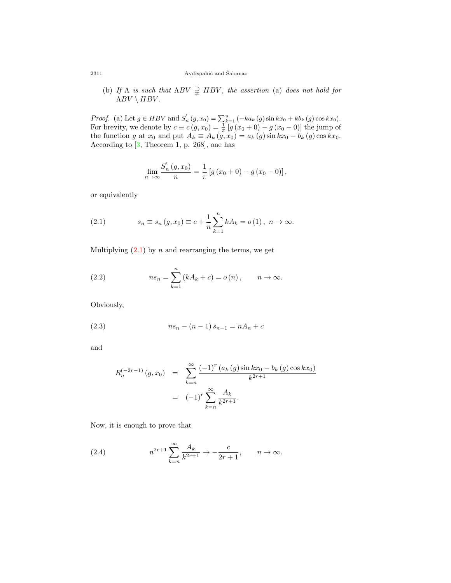#### 2311  $\hbox{Avdispahic}$  and Šabanac

(b) *If*  $\Lambda$  *is such that*  $\Lambda BV \supsetneq HBV$ , *the assertion* (a) *does not hold for*  $\Lambda BV \setminus HBV$ .

*Proof.* (a) Let  $g \in HBV$  and  $S'_n(g, x_0) = \sum_{k=1}^n (-ka_k(g) \sin kx_0 + kb_k(g) \cos kx_0)$ . For brevity, we denote by  $c \equiv c(g, x_0) = \frac{1}{\pi} [g(x_0 + 0) - g(x_0 - 0)]$  the jump of the function *g* at  $x_0$  and put  $A_k \equiv A_k(g, x_0) = a_k(g) \sin kx_0 - b_k(g) \cos kx_0$ . According to  $[3,$  $[3,$  Theorem 1, p. 268, one has

$$
\lim_{n \to \infty} \frac{S'_n(g, x_0)}{n} = \frac{1}{\pi} \left[ g(x_0 + 0) - g(x_0 - 0) \right],
$$

or equivalently

<span id="page-5-0"></span>(2.1) 
$$
s_n \equiv s_n(g, x_0) \equiv c + \frac{1}{n} \sum_{k=1}^n k A_k = o(1), \ n \to \infty.
$$

Multiplying  $(2.1)$  $(2.1)$  by *n* and rearranging the terms, we get

<span id="page-5-1"></span>(2.2) 
$$
ns_n = \sum_{k=1}^n (kA_k + c) = o(n), \qquad n \to \infty.
$$

Obviously,

(2.3) 
$$
ns_n - (n-1)s_{n-1} = nA_n + c
$$

and

<span id="page-5-2"></span>
$$
R_n^{(-2r-1)}(g, x_0) = \sum_{k=n}^{\infty} \frac{(-1)^r (a_k(g) \sin kx_0 - b_k(g) \cos kx_0)}{k^{2r+1}}
$$
  
=  $(-1)^r \sum_{k=n}^{\infty} \frac{A_k}{k^{2r+1}}$ .

Now, it is enough to prove that

<span id="page-5-3"></span>(2.4) 
$$
n^{2r+1} \sum_{k=n}^{\infty} \frac{A_k}{k^{2r+1}} \to -\frac{c}{2r+1}, \qquad n \to \infty.
$$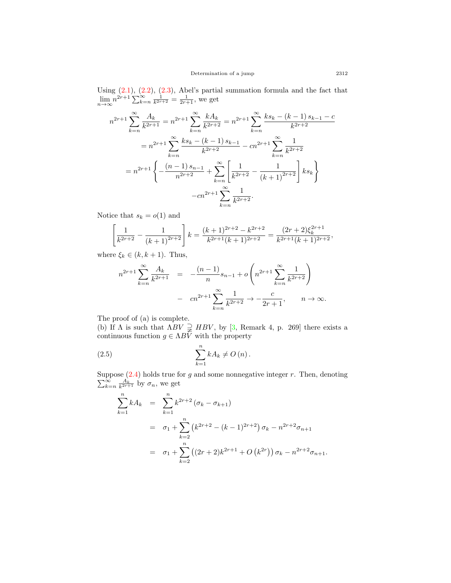Using  $(2.1)$  $(2.1)$  $(2.1)$ ,  $(2.2)$  $(2.2)$ ,  $(2.3)$ , Abel's partial summation formula and the fact that  $\lim_{n \to \infty} n^{2r+1} \sum_{k=n}^{\infty} \frac{1}{k^{2r+2}} = \frac{1}{2r+1}$ , we get

$$
n^{2r+1} \sum_{k=n}^{\infty} \frac{A_k}{k^{2r+1}} = n^{2r+1} \sum_{k=n}^{\infty} \frac{kA_k}{k^{2r+2}} = n^{2r+1} \sum_{k=n}^{\infty} \frac{ks_k - (k-1)s_{k-1} - c}{k^{2r+2}}
$$
  
=  $n^{2r+1} \sum_{k=n}^{\infty} \frac{ks_k - (k-1)s_{k-1}}{k^{2r+2}} - cn^{2r+1} \sum_{k=n}^{\infty} \frac{1}{k^{2r+2}}$   
=  $n^{2r+1} \left\{ -\frac{(n-1)s_{n-1}}{n^{2r+2}} + \sum_{k=n}^{\infty} \left[ \frac{1}{k^{2r+2}} - \frac{1}{(k+1)^{2r+2}} \right] k s_k \right\}$   
-  $cn^{2r+1} \sum_{k=n}^{\infty} \frac{1}{k^{2r+2}}$ .

Notice that  $s_k = o(1)$  and

$$
\left[\frac{1}{k^{2r+2}} - \frac{1}{(k+1)^{2r+2}}\right]k = \frac{(k+1)^{2r+2} - k^{2r+2}}{k^{2r+1}(k+1)^{2r+2}} = \frac{(2r+2)\xi_k^{2r+1}}{k^{2r+1}(k+1)^{2r+2}},
$$

where  $\xi_k \in (k, k+1)$ . Thus,

$$
n^{2r+1} \sum_{k=n}^{\infty} \frac{A_k}{k^{2r+1}} = -\frac{(n-1)}{n} s_{n-1} + o\left(n^{2r+1} \sum_{k=n}^{\infty} \frac{1}{k^{2r+2}}\right)
$$

$$
- cn^{2r+1} \sum_{k=n}^{\infty} \frac{1}{k^{2r+2}} \to -\frac{c}{2r+1}, \qquad n \to \infty.
$$

The proof of (a) is complete.

(b) If  $\Lambda$  is such that  $\Lambda BV \supsetneq HBV$ , by [[3,](#page-14-3) Remark 4, p. 269] there exists a continuous function  $g \in \Lambda BV$  with the property

$$
\sum_{k=1}^{n} k A_k \neq O\left(n\right).
$$

Suppose ( [2.4](#page-5-3)) holds true for *g* and some nonnegative integer *r*. Then, denoting  $\sum_{k=n}^{\infty} \frac{A_k}{k^{2r+1}}$  by  $\sigma_n$ , we get

<span id="page-6-0"></span>
$$
\sum_{k=1}^{n} k A_k = \sum_{k=1}^{n} k^{2r+2} (\sigma_k - \sigma_{k+1})
$$
  
=  $\sigma_1 + \sum_{k=2}^{n} (k^{2r+2} - (k-1)^{2r+2}) \sigma_k - n^{2r+2} \sigma_{n+1}$   
=  $\sigma_1 + \sum_{k=2}^{n} ((2r+2)k^{2r+1} + O(k^{2r})) \sigma_k - n^{2r+2} \sigma_{n+1}.$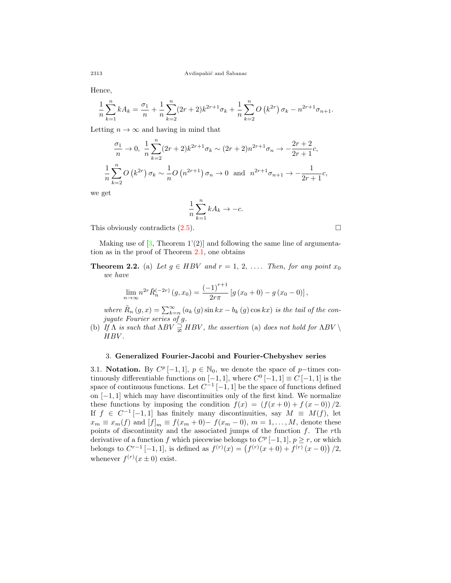Hence,

$$
\frac{1}{n}\sum_{k=1}^{n} kA_k = \frac{\sigma_1}{n} + \frac{1}{n}\sum_{k=2}^{n} (2r+2)k^{2r+1}\sigma_k + \frac{1}{n}\sum_{k=2}^{n} O(k^{2r})\sigma_k - n^{2r+1}\sigma_{n+1}.
$$

Letting  $n \to \infty$  and having in mind that

$$
\frac{\sigma_1}{n} \to 0, \ \frac{1}{n} \sum_{k=2}^n (2r+2)k^{2r+1} \sigma_k \sim (2r+2)n^{2r+1} \sigma_n \to -\frac{2r+2}{2r+1}c,
$$
  

$$
\frac{1}{n} \sum_{k=2}^n O(k^{2r}) \sigma_k \sim \frac{1}{n} O(n^{2r+1}) \sigma_n \to 0 \text{ and } n^{2r+1} \sigma_{n+1} \to -\frac{1}{2r+1}c,
$$

we get

$$
\frac{1}{n}\sum_{k=1}^{n}kA_{k}\to-c.
$$

This obviously contradicts  $(2.5)$  $(2.5)$ . □

Making use of  $[3,$  $[3,$  Theorem 1'(2)] and following the same line of argumentation as in the proof of Theorem 2.1, one obtains

**Theorem 2.2.** (a) Let  $g \in HBV$  and  $r = 1, 2, \ldots$  Then, for any point  $x_0$ *we have*

$$
\lim_{n \to \infty} n^{2r} \tilde{R}_n^{(-2r)}(g, x_0) = \frac{(-1)^{r+1}}{2r\pi} \left[ g(x_0 + 0) - g(x_0 - 0) \right],
$$

*where*  $\tilde{R}_n(g, x) = \sum_{k=n}^{\infty} (a_k(g) \sin kx - b_k(g) \cos kx)$  *is the tail of the conjugate Fourier series of g.*

(b) *If*  $\Lambda$  *is such that*  $\Lambda BV \supsetneq HBV$ , *the assertion* (a) *does not hold for*  $\Lambda BV \setminus$ *HBV .*

### 3. **Generalized Fourier-Jacobi and Fourier-Chebyshev series**

3.1. **Notation.** By  $C^p[-1,1], p \in \mathbb{N}_0$ , we denote the space of *p−*times continuously differentiable functions on  $[-1, 1]$ , where  $C^0[-1, 1] \equiv C[-1, 1]$  is the space of continuous functions. Let *C −*1 [*−*1*,* 1] be the space of functions defined on [*−*1*,* 1] which may have discontinuities only of the first kind. We normalize these functions by imposing the condition  $f(x) = (f(x+0) + f(x-0))/2$ . If  $f \in C^{-1}[-1,1]$  has finitely many discontinuities, say  $M \equiv M(f)$ , let  $x_m \equiv x_m(f)$  and  $[f]_m \equiv f(x_m + 0) - f(x_m - 0)$ ,  $m = 1, ..., M$ , denote these points of discontinuity and the associated jumps of the function *f*. The *r*th derivative of a function *f* which piecewise belongs to  $C^p[-1,1], p \geq r$ , or which belongs to  $C^{r-1}$  [−1, 1], is defined as  $f^{(r)}(x) = (f^{(r)}(x+0) + f^{(r)}(x-0))/2$ , whenever  $f^{(r)}(x \pm 0)$  exist.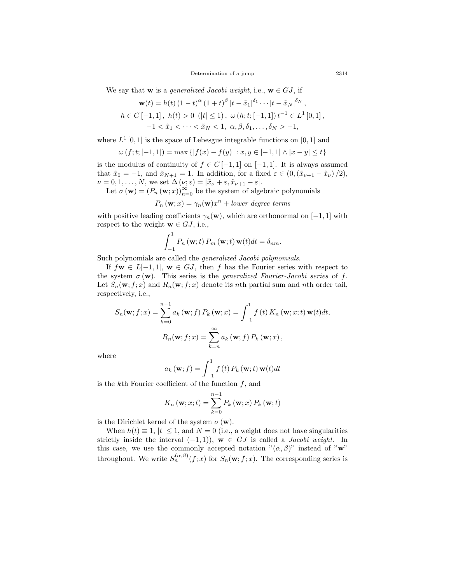Determination of a jump 2314

We say that **w** is a *generalized Jacobi weight*, i.e.,  $\mathbf{w} \in GJ$ , if

$$
\mathbf{w}(t) = h(t) (1-t)^{\alpha} (1+t)^{\beta} |t - \tilde{x}_1|^{\delta_1} \cdots |t - \tilde{x}_N|^{\delta_N},
$$
  
\n
$$
h \in C [-1,1], \ h(t) > 0 \ (|t| \le 1), \ \omega(h;t; [-1,1]) t^{-1} \in L^1 [0,1],
$$
  
\n
$$
-1 < \tilde{x}_1 < \cdots < \tilde{x}_N < 1, \ \alpha, \beta, \delta_1, \ldots, \delta_N > -1,
$$

where  $L^1$  [0, 1] is the space of Lebesgue integrable functions on [0, 1] and

$$
\omega(f; t; [-1, 1]) = \max\{|f(x) - f(y)| : x, y \in [-1, 1] \land |x - y| \le t\}
$$

is the modulus of continuity of  $f \in C[-1,1]$  on  $[-1,1]$ . It is always assumed that  $\tilde{x}_0 = -1$ , and  $\tilde{x}_{N+1} = 1$ . In addition, for a fixed  $\varepsilon \in (0, (\tilde{x}_{\nu+1} - \tilde{x}_{\nu})/2)$ ,  $\nu = 0, 1, \ldots, N$ , we set  $\Delta(\nu; \varepsilon) = [\tilde{x}_{\nu} + \varepsilon, \tilde{x}_{\nu+1} - \varepsilon].$ 

Let  $\sigma(\mathbf{w}) = (P_n(\mathbf{w}; x))_{n=0}^{\infty}$  be the system of algebraic polynomials

$$
P_n(\mathbf{w};x) = \gamma_n(\mathbf{w})x^n + lower \ degree \ terms
$$

with positive leading coefficients  $\gamma_n(\mathbf{w})$ , which are orthonormal on [−1, 1] with respect to the weight  $\mathbf{w} \in GJ$ , i.e.,

$$
\int_{-1}^{1} P_n(\mathbf{w};t) P_m(\mathbf{w};t) \mathbf{w}(t) dt = \delta_{nm}.
$$

Such polynomials are called the *generalized Jacobi polynomials*.

If  $f$ **w**  $\in$  *L*[−1, 1], **w**  $\in$  *GJ*, then *f* has the Fourier series with respect to the system  $\sigma(\mathbf{w})$ . This series is the *generalized Fourier-Jacobi series* of *f*. Let  $S_n(\mathbf{w}; f; x)$  and  $R_n(\mathbf{w}; f; x)$  denote its *n*th partial sum and *n*th order tail, respectively, i.e.,

$$
S_n(\mathbf{w}; f; x) = \sum_{k=0}^{n-1} a_k (\mathbf{w}; f) P_k (\mathbf{w}; x) = \int_{-1}^1 f(t) K_n (\mathbf{w}; x; t) \mathbf{w}(t) dt,
$$

$$
R_n(\mathbf{w}; f; x) = \sum_{k=n}^{\infty} a_k (\mathbf{w}; f) P_k (\mathbf{w}; x),
$$

where

$$
a_k(\mathbf{w};f) = \int_{-1}^{1} f(t) P_k(\mathbf{w};t) \mathbf{w}(t) dt
$$

is the *k*th Fourier coefficient of the function *f*, and

$$
K_n(\mathbf{w};x;t) = \sum_{k=0}^{n-1} P_k(\mathbf{w};x) P_k(\mathbf{w};t)
$$

is the Dirichlet kernel of the system  $\sigma(\mathbf{w})$ .

When  $h(t) \equiv 1$ ,  $|t| \leq 1$ , and  $N = 0$  (i.e., a weight does not have singularities strictly inside the interval  $(-1, 1)$ ,  $\mathbf{w} \in GJ$  is called a *Jacobi weight*. In this case, we use the commonly accepted notation  $"(\alpha, \beta)"$  instead of "**w**" throughout. We write  $S_n^{(\alpha,\beta)}(f;x)$  for  $S_n(\mathbf{w};f;x)$ . The corresponding series is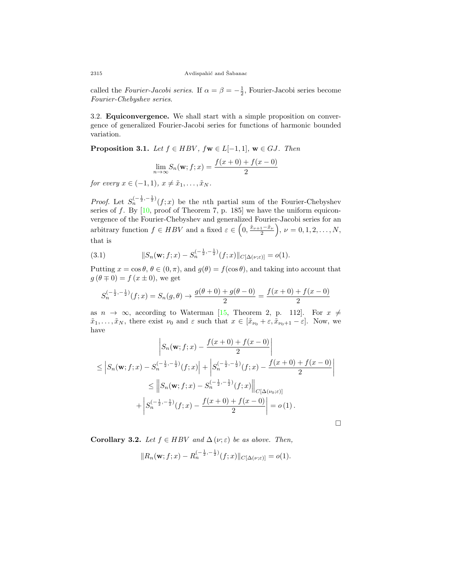called the *Fourier-Jacobi series*. If  $\alpha = \beta = -\frac{1}{2}$ , Fourier-Jacobi series become *Fourier-Chebyshev series*.

3.2. **Equiconvergence.** We shall start with a simple proposition on convergence of generalized Fourier-Jacobi series for functions of harmonic bounded variation.

<span id="page-9-0"></span>**Proposition 3.1.** *Let*  $f \in HBV$ *,*  $f \mathbf{w} \in L[-1,1]$ *,*  $\mathbf{w} \in GJ$ *. Then* 

$$
\lim_{n \to \infty} S_n(\mathbf{w}; f; x) = \frac{f(x+0) + f(x-0)}{2}
$$

*for every*  $x \in (-1, 1), x \neq \tilde{x}_1, \ldots, \tilde{x}_N$ .

*Proof.* Let  $S_n^{(-\frac{1}{2}, -\frac{1}{2})}(f; x)$  be the *n*th partial sum of the Fourier-Chebyshev series of  $f$ . By  $[10, \text{proof of Theorem 7}, p. 185]$  $[10, \text{proof of Theorem 7}, p. 185]$  we have the uniform equiconvergence of the Fourier-Chebyshev and generalized Fourier-Jacobi series for an arbitrary function  $f \in HBV$  and a fixed  $\varepsilon \in \left(0, \frac{\tilde{x}_{\nu+1} - \tilde{x}_{\nu}}{2}\right)$  $\bigg), \nu = 0, 1, 2, \ldots, N,$ that is

<span id="page-9-1"></span>(3.1) 
$$
||S_n(\mathbf{w};f;x) - S_n^{(-\frac{1}{2},-\frac{1}{2})}(f;x)||_{C[\Delta(\nu;\varepsilon)]} = o(1).
$$

Putting  $x = \cos \theta$ ,  $\theta \in (0, \pi)$ , and  $g(\theta) = f(\cos \theta)$ , and taking into account that  $g(\theta \mp 0) = f(x \pm 0)$ , we get

$$
S_n^{(-\frac{1}{2}, -\frac{1}{2})}(f; x) = S_n(g, \theta) \to \frac{g(\theta + 0) + g(\theta - 0)}{2} = \frac{f(x + 0) + f(x - 0)}{2}
$$

as  $n \to \infty$ , according to Waterman [\[15](#page-14-11), Theorem 2, p. 112]. For  $x \neq$  $\tilde{x}_1, \ldots, \tilde{x}_N$ , there exist  $\nu_0$  and  $\varepsilon$  such that  $x \in [\tilde{x}_{\nu_0} + \varepsilon, \tilde{x}_{\nu_0+1} - \varepsilon]$ . Now, we have

$$
\left| S_n(\mathbf{w}; f; x) - \frac{f(x+0) + f(x-0)}{2} \right|
$$
  
\n
$$
\leq \left| S_n(\mathbf{w}; f; x) - S_n^{(-\frac{1}{2}, -\frac{1}{2})}(f; x) \right| + \left| S_n^{(-\frac{1}{2}, -\frac{1}{2})}(f; x) - \frac{f(x+0) + f(x-0)}{2} \right|
$$
  
\n
$$
\leq \left\| S_n(\mathbf{w}; f; x) - S_n^{(-\frac{1}{2}, -\frac{1}{2})}(f; x) \right\|_{C[\Delta(\nu_0; \varepsilon)]}
$$
  
\n
$$
+ \left| S_n^{(-\frac{1}{2}, -\frac{1}{2})}(f; x) - \frac{f(x+0) + f(x-0)}{2} \right| = o(1).
$$

□

**Corollary 3.2.** *Let*  $f \in HBV$  *and*  $\Delta(\nu;\varepsilon)$  *be as above. Then,* 

 $||R_n(\mathbf{w}; f; x) - R_n^{(-\frac{1}{2}, -\frac{1}{2})}(f; x)||_{C[\Delta(\nu; \varepsilon)]} = o(1).$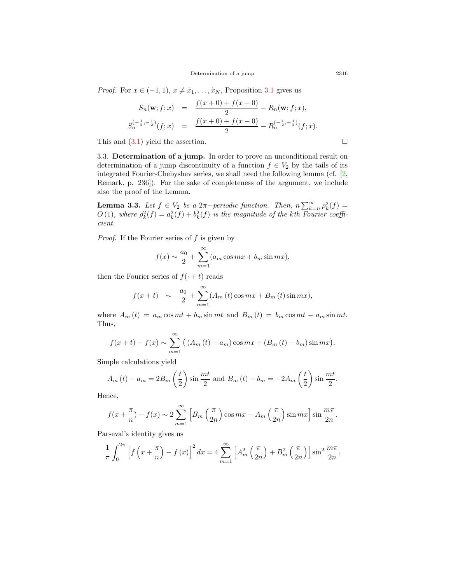*Proof.* For  $x \in (-1, 1)$ ,  $x \neq \tilde{x}_1, \ldots, \tilde{x}_N$ , Proposition [3.1](#page-9-0) gives us

$$
S_n(\mathbf{w}; f; x) = \frac{f(x+0) + f(x-0)}{2} - R_n(\mathbf{w}; f; x),
$$
  

$$
S_n^{(-\frac{1}{2}, -\frac{1}{2})}(f; x) = \frac{f(x+0) + f(x-0)}{2} - R_n^{(-\frac{1}{2}, -\frac{1}{2})}(f; x).
$$

This and  $(3.1)$  yield the assertion.  $\Box$ 

3.3. **Determination of a jump.** In order to prove an unconditional result on determination of a jump discontinuity of a function  $f \in V_2$  by the tails of its integrated Fourier-Chebyshev series, we shall need the following lemma (cf. [[2](#page-14-5), Remark, p. 236]). For the sake of completeness of the argument, we include also the proof of the Lemma.

<span id="page-10-0"></span>**Lemma 3.3.** *Let*  $f \in V_2$  *be a* 2*π−periodic function. Then,*  $n \sum_{k=n}^{\infty} \rho_k^2(f) =$  $O(1)$ , where  $\rho_k^2(f) = a_k^2(f) + b_k^2(f)$  is the magnitude of the *k*th Fourier coeffi*cient.*

*Proof.* If the Fourier series of *f* is given by

$$
f(x) \sim \frac{a_0}{2} + \sum_{m=1}^{\infty} (a_m \cos mx + b_m \sin mx),
$$

then the Fourier series of  $f(\cdot + t)$  reads

$$
f(x+t)
$$
 ~  $\frac{a_0}{2} + \sum_{m=1}^{\infty} (A_m(t) \cos mx + B_m(t) \sin mx),$ 

where  $A_m(t) = a_m \cos mt + b_m \sin mt$  and  $B_m(t) = b_m \cos mt - a_m \sin mt$ . Thus,

$$
f(x + t) - f(x) \sim \sum_{m=1}^{\infty} ((A_m(t) - a_m)\cos mx + (B_m(t) - b_m)\sin mx).
$$

Simple calculations yield

$$
A_m(t) - a_m = 2B_m\left(\frac{t}{2}\right)\sin\frac{mt}{2} \text{ and } B_m(t) - b_m = -2A_m\left(\frac{t}{2}\right)\sin\frac{mt}{2}.
$$

Hence,

$$
f(x+\frac{\pi}{n}) - f(x) \sim 2\sum_{m=1}^{\infty} \left[ B_m\left(\frac{\pi}{2n}\right) \cos mx - A_m\left(\frac{\pi}{2n}\right) \sin mx \right] \sin \frac{m\pi}{2n}.
$$

Parseval's identity gives us

$$
\frac{1}{\pi} \int_0^{2\pi} \left[ f\left(x + \frac{\pi}{n}\right) - f\left(x\right) \right]^2 dx = 4 \sum_{m=1}^{\infty} \left[ A_m^2 \left( \frac{\pi}{2n} \right) + B_m^2 \left( \frac{\pi}{2n} \right) \right] \sin^2 \frac{m\pi}{2n}.
$$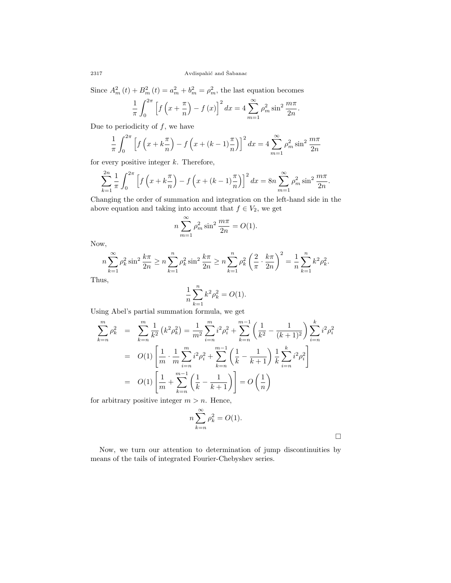Since  $A_m^2(t) + B_m^2(t) = a_m^2 + b_m^2 = \rho_m^2$ , the last equation becomes

$$
\frac{1}{\pi} \int_0^{2\pi} \left[ f\left(x + \frac{\pi}{n}\right) - f\left(x\right) \right]^2 dx = 4 \sum_{m=1}^{\infty} \rho_m^2 \sin^2 \frac{m\pi}{2n}.
$$

Due to periodicity of *f*, we have

$$
\frac{1}{\pi} \int_0^{2\pi} \left[ f\left(x + k\frac{\pi}{n}\right) - f\left(x + (k-1)\frac{\pi}{n}\right) \right]^2 dx = 4 \sum_{m=1}^{\infty} \rho_m^2 \sin^2 \frac{m\pi}{2n}
$$

for every positive integer *k*. Therefore,

$$
\sum_{k=1}^{2n} \frac{1}{\pi} \int_0^{2\pi} \left[ f\left(x + k\frac{\pi}{n}\right) - f\left(x + (k-1)\frac{\pi}{n}\right) \right]^2 dx = 8n \sum_{m=1}^{\infty} \rho_m^2 \sin^2 \frac{m\pi}{2n}.
$$

Changing the order of summation and integration on the left-hand side in the above equation and taking into account that  $f \in V_2$ , we get

$$
n\sum_{m=1}^{\infty} \rho_m^2 \sin^2 \frac{m\pi}{2n} = O(1).
$$

Now,

$$
n\sum_{k=1}^{\infty} \rho_k^2 \sin^2 \frac{k\pi}{2n} \ge n \sum_{k=1}^n \rho_k^2 \sin^2 \frac{k\pi}{2n} \ge n \sum_{k=1}^n \rho_k^2 \left(\frac{2}{\pi} \cdot \frac{k\pi}{2n}\right)^2 = \frac{1}{n} \sum_{k=1}^n k^2 \rho_k^2.
$$
us.

Thus,

$$
\frac{1}{n}\sum_{k=1}^{n}k^{2}\rho_{k}^{2}=O(1).
$$

Using Abel's partial summation formula, we get

$$
\sum_{k=n}^{m} \rho_k^2 = \sum_{k=n}^{m} \frac{1}{k^2} (k^2 \rho_k^2) = \frac{1}{m^2} \sum_{i=n}^{m} i^2 \rho_i^2 + \sum_{k=n}^{m-1} \left( \frac{1}{k^2} - \frac{1}{(k+1)^2} \right) \sum_{i=n}^{k} i^2 \rho_i^2
$$
  
=  $O(1) \left[ \frac{1}{m} \cdot \frac{1}{m} \sum_{i=n}^{m} i^2 \rho_i^2 + \sum_{k=n}^{m-1} \left( \frac{1}{k} - \frac{1}{k+1} \right) \frac{1}{k} \sum_{i=n}^{k} i^2 \rho_i^2 \right]$   
=  $O(1) \left[ \frac{1}{m} + \sum_{k=n}^{m-1} \left( \frac{1}{k} - \frac{1}{k+1} \right) \right] = O\left(\frac{1}{n}\right)$ 

for arbitrary positive integer  $m > n$ . Hence,

$$
n\sum_{k=n}^{\infty} \rho_k^2 = O(1).
$$

□

Now, we turn our attention to determination of jump discontinuities by means of the tails of integrated Fourier-Chebyshev series.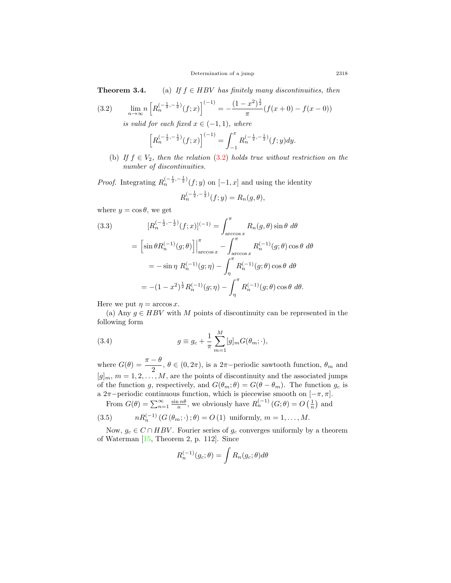**Theorem 3.4.** (a) *If*  $f \in HBV$  *has finitely many discontinuities, then* 

(3.2) 
$$
\lim_{n \to \infty} n \left[ R_n^{(-\frac{1}{2}, -\frac{1}{2})} (f; x) \right]^{(-1)} = -\frac{(1 - x^2)^{\frac{1}{2}}}{\pi} (f(x+0) - f(x-0))
$$

<span id="page-12-0"></span>*is valid for each fixed*  $x \in (−1, 1)$ *, where* 

$$
\left[R_n^{(-\frac{1}{2}, -\frac{1}{2})}(f; x)\right]^{(-1)} = \int_{-1}^x R_n^{(-\frac{1}{2}, -\frac{1}{2})}(f; y) dy.
$$

(b) *If*  $f \in V_2$ *, then the relation* ([3.2](#page-12-0)) *holds true without restriction on the number of discontinuities.*

*Proof.* Integrating  $R_n^{(-\frac{1}{2}, -\frac{1}{2})}(f; y)$  on  $[-1, x]$  and using the identity  $R_n^{(-\frac{1}{2}, -\frac{1}{2})}(f; y) = R_n(g, \theta),$ 

where  $y = \cos \theta$ , we get

<span id="page-12-3"></span>(3.3) 
$$
[R_n^{(-\frac{1}{2}, -\frac{1}{2})}(f; x)]^{(-1)} = \int_{\arccos x}^{\pi} R_n(g, \theta) \sin \theta \, d\theta
$$

$$
= \left[\sin \theta R_n^{(-1)}(g; \theta)\right]_{\arccos x}^{\pi} - \int_{\arccos x}^{\pi} R_n^{(-1)}(g; \theta) \cos \theta \, d\theta
$$

$$
= -\sin \eta \, R_n^{(-1)}(g; \eta) - \int_{\eta}^{\pi} R_n^{(-1)}(g; \theta) \cos \theta \, d\theta
$$

$$
= -(1 - x^2)^{\frac{1}{2}} R_n^{(-1)}(g; \eta) - \int_{\eta}^{\pi} R_n^{(-1)}(g; \theta) \cos \theta \, d\theta.
$$

Here we put  $\eta = \arccos x$ .

(a) Any  $q \in HBV$  with M points of discontinuity can be represented in the following form

<span id="page-12-1"></span>(3.4) 
$$
g \equiv g_c + \frac{1}{\pi} \sum_{m=1}^{M} [g]_m G(\theta_m; \cdot),
$$

where  $G(\theta) = \frac{\pi - \theta}{2}$ ,  $\theta \in (0, 2\pi)$ , is a  $2\pi$ *-*periodic sawtooth function,  $\theta_m$  and  $[g]_m$ ,  $m = 1, 2, \ldots, M$ , are the points of discontinuity and the associated jumps of the function *g*, respectively, and  $G(\theta_m; \theta) = G(\theta - \theta_m)$ . The function  $g_c$  is a 2*π−*periodic continuous function, which is piecewise smooth on [*−π, π*].

<span id="page-12-2"></span>From  $G(\theta) = \sum_{n=1}^{\infty} \frac{\sin n\theta}{n}$ , we obviously have  $R_n^{(-1)}(G;\theta) = O\left(\frac{1}{n}\right)$  and

(3.5) 
$$
nR_n^{(-1)}(G(\theta_m; \cdot); \theta) = O(1) \text{ uniformly, } m = 1, ..., M.
$$

Now,  $g_c \in C \cap HBV$ . Fourier series of  $g_c$  converges uniformly by a theorem of Waterman [[15,](#page-14-11) Theorem 2, p. 112]. Since

$$
R_n^{(-1)}(g_c; \theta) = \int R_n(g_c; \theta) d\theta
$$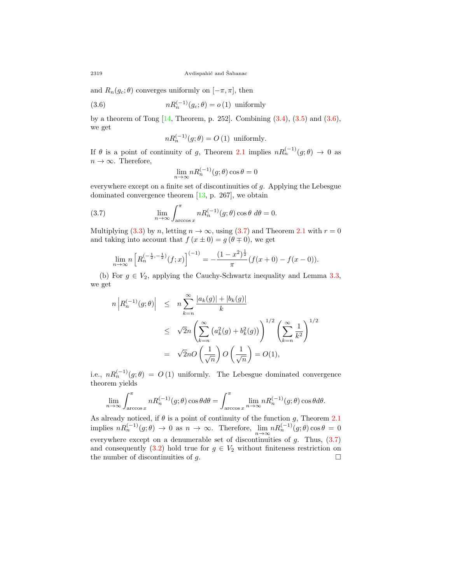and  $R_n(g_c;\theta)$  converges uniformly on  $[-\pi,\pi]$ , then

(3.6) 
$$
nR_n^{(-1)}(g_c; \theta) = o(1) \text{ uniformly}
$$

by a theorem of Tong  $[14,$  $[14,$  Theorem, p. 252. Combining  $(3.4)$  $(3.4)$  $(3.4)$ ,  $(3.5)$  and  $(3.6)$  $(3.6)$ , we get

<span id="page-13-0"></span>
$$
nR_n^{(-1)}(g; \theta) = O(1) \text{ uniformly.}
$$

If  $\theta$  is a point of continuity of *g*, Theorem 2.1 implies  $nR_n^{(-1)}(g;\theta) \to 0$  as  $n \to \infty$ . Therefore,

<span id="page-13-1"></span>
$$
\lim_{n \to \infty} n R_n^{(-1)}(g; \theta) \cos \theta = 0
$$

everywhere except on a finite set of discontinuities of *g*. Applying the Lebesgue dominated convergence theorem [[13,](#page-14-16) p. 267], we obtain

(3.7) 
$$
\lim_{n \to \infty} \int_{\arccos x}^{\pi} n R_n^{(-1)}(g; \theta) \cos \theta \ d\theta = 0.
$$

Multiplying ([3.3](#page-12-3)) by *n*, letting  $n \to \infty$ , using ([3.7](#page-13-1)) and Theorem 2.1 with  $r = 0$ and taking into account that  $f(x \pm 0) = g(\theta \mp 0)$ , we get

$$
\lim_{n \to \infty} n \left[ R_n^{(-\frac{1}{2}, -\frac{1}{2})} (f; x) \right]^{(-1)} = -\frac{(1 - x^2)^{\frac{1}{2}}}{\pi} (f(x+0) - f(x-0)).
$$

(b) For  $g \in V_2$ , applying the Cauchy-Schwartz inequality and Lemma [3.3](#page-10-0), we get

$$
n\left|R_n^{(-1)}(g;\theta)\right| \leq n\sum_{k=n}^{\infty} \frac{|a_k(g)| + |b_k(g)|}{k}
$$
  

$$
\leq \sqrt{2}n\left(\sum_{k=n}^{\infty} (a_k^2(g) + b_k^2(g))\right)^{1/2} \left(\sum_{k=n}^{\infty} \frac{1}{k^2}\right)^{1/2}
$$
  

$$
= \sqrt{2}nO\left(\frac{1}{\sqrt{n}}\right)O\left(\frac{1}{\sqrt{n}}\right) = O(1),
$$

i.e.,  $nR_n^{(-1)}(g;\theta) = O(1)$  uniformly. The Lebesgue dominated convergence theorem yields

$$
\lim_{n\to\infty}\int_{\arccos x}^\pi nR_n^{(-1)}(g;\theta)\cos\theta d\theta=\int_{\arccos x}^\pi\lim_{n\to\infty}nR_n^{(-1)}(g;\theta)\cos\theta d\theta.
$$

As already noticed, if *θ* is a point of continuity of the function *g*, Theorem 2.1  $\liminf_{n \to \infty} nR_n^{(-1)}(g;\theta) \to 0$  as  $n \to \infty$ . Therefore,  $\lim_{n \to \infty} nR_n^{(-1)}(g;\theta) \cos \theta = 0$ everywhere except on a denumerable set of discontinuities of *g*. Thus, ([3.7](#page-13-1)) and consequently  $(3.2)$  $(3.2)$  hold true for  $g \in V_2$  without finiteness restriction on the number of discontinuities of  $g$ .  $\Box$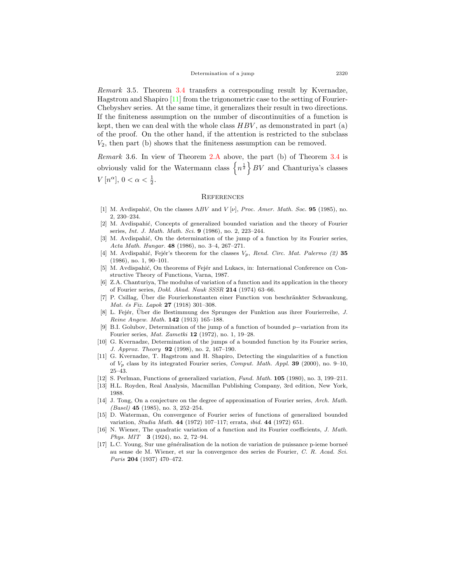*Remark* 3.5*.* Theorem 3.4 transfers a corresponding result by Kvernadze, Hagstrom and Shapiro [[11](#page-14-8)] from the trigonometric case to the setting of Fourier-Chebyshev series. At the same time, it generalizes their result in two directions. If the finiteness assumption on the number of discontinuities of a function is kept, then we can deal with the whole class *HBV* , as demonstrated in part (a) of the proof. On the other hand, if the attention is restricted to the subclass *V*2, then part (b) shows that the finiteness assumption can be removed.

*Remark* 3.6*.* In view of Theorem [2.A](#page-3-0) above, the part (b) of Theorem 3.4 is obviously valid for the Watermann class  $\{n^{\frac{1}{2}}\}$  *BV* and Chanturiya's classes *V*  $[n^{\alpha}], 0 < \alpha < \frac{1}{2}.$ 

#### **REFERENCES**

- <span id="page-14-4"></span>[1] M. Avdispahi´c, On the classes Λ*BV* and *V* [*ν*], *Proc. Amer. Math. Soc.* **95** (1985), no. 2, 230–234.
- <span id="page-14-5"></span>[2] M. Avdispahić, Concepts of generalized bounded variation and the theory of Fourier series, *Int. J. Math. Math. Sci.* **9** (1986), no. 2, 223–244.
- <span id="page-14-3"></span>[3] M. Avdispahić, On the determination of the jump of a function by its Fourier series, *Acta Math. Hungar.* **48** (1986), no. 3–4, 267–271.
- <span id="page-14-6"></span>[4] M. Avdispahić, Fejér's theorem for the classes  $V_p$ , Rend. Circ. Mat. Palermo (2) 35 (1986), no. 1, 90–101.
- <span id="page-14-14"></span>[5] M. Avdispahić, On theorems of Fejér and Lukacs, in: International Conference on Constructive Theory of Functions, Varna, 1987.
- <span id="page-14-13"></span>[6] Z.A. Chanturiya, The modulus of variation of a function and its application in the theory of Fourier series, *Dokl. Akad. Nauk SSSR* **214** (1974) 63–66.
- <span id="page-14-1"></span>[7] P. Csillag, Über die Fourierkonstanten einer Function von beschränkter Schwankung, *Mat. ´es Fiz. Lapok* **27** (1918) 301–308.
- <span id="page-14-0"></span>[8] L. Fejér, Über die Bestimmung des Sprunges der Funktion aus ihrer Fourierreihe, *J. Reine Angew. Math.* **142** (1913) 165–188.
- <span id="page-14-2"></span>[9] B.I. Golubov, Determination of the jump of a function of bounded *p−*variation from its Fourier series, *Mat. Zametki* **12** (1972), no. 1, 19–28.
- <span id="page-14-7"></span>[10] G. Kvernadze, Determination of the jumps of a bounded function by its Fourier series, *J. Approx. Theory* **92** (1998), no. 2, 167–190.
- <span id="page-14-8"></span>[11] G. Kvernadze, T. Hagstrom and H. Shapiro, Detecting the singularities of a function of *Vp* class by its integrated Fourier series, *Comput. Math. Appl.* **39** (2000), no. 9–10, 25–43.
- <span id="page-14-12"></span>[12] S. Perlman, Functions of generalized variation, *Fund. Math.* **105** (1980), no. 3, 199–211.
- <span id="page-14-16"></span>[13] H.L. Royden, Real Analysis, Macmillan Publishing Company, 3rd edition, New York, 1988.
- <span id="page-14-15"></span>[14] J. Tong, On a conjecture on the degree of approximation of Fourier series, *Arch. Math. (Basel)* **45** (1985), no. 3, 252–254.
- <span id="page-14-11"></span>[15] D. Waterman, On convergence of Fourier series of functions of generalized bounded variation, *Studia Math.* **44** (1972) 107–117; errata, *ibid.* **44** (1972) 651.
- <span id="page-14-9"></span>[16] N. Wiener, The quadratic variation of a function and its Fourier coefficients, *J. Math. Phys. MIT* **3** (1924), no. 2, 72–94.
- <span id="page-14-10"></span>[17] L.C. Young, Sur une généralisation de la notion de variation de puissance p-ieme borneé au sense de M. Wiener, et sur la convergence des series de Fourier, *C. R. Acad. Sci. Paris* **204** (1937) 470–472.